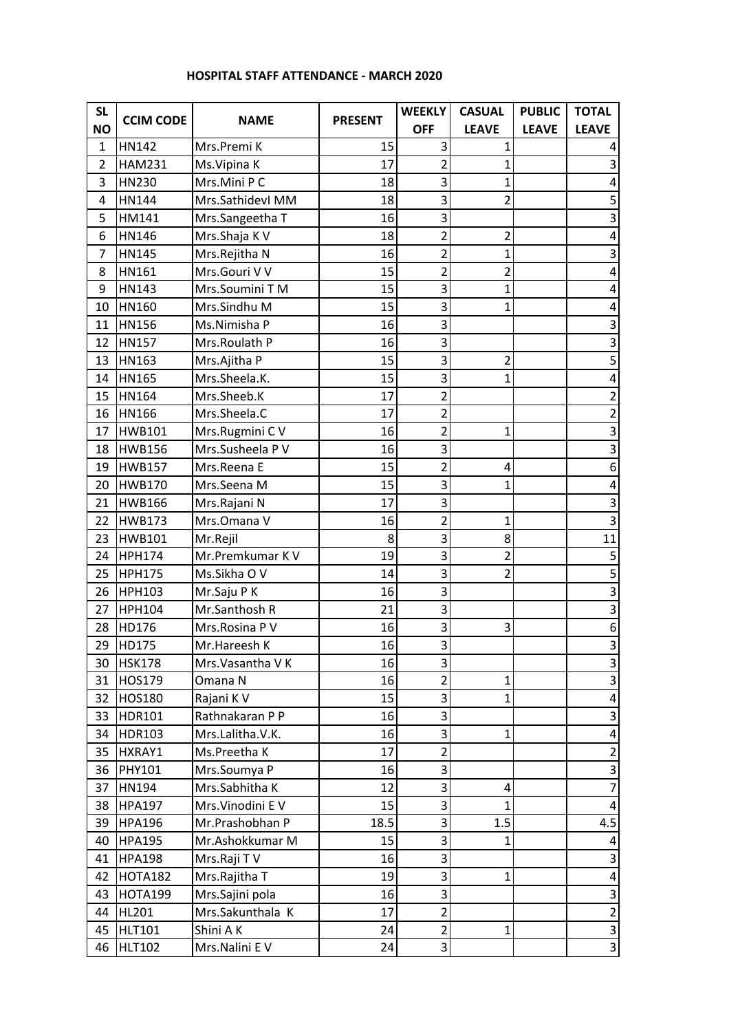## **HOSPITAL STAFF ATTENDANCE - MARCH 2020**

| <b>SL</b>      | <b>CCIM CODE</b> | <b>NAME</b>       | <b>PRESENT</b> | <b>WEEKLY</b>           | <b>CASUAL</b>  | <b>PUBLIC</b> | <b>TOTAL</b>              |
|----------------|------------------|-------------------|----------------|-------------------------|----------------|---------------|---------------------------|
| <b>NO</b>      |                  |                   |                | <b>OFF</b>              | <b>LEAVE</b>   | <b>LEAVE</b>  | <b>LEAVE</b>              |
| $\mathbf{1}$   | HN142            | Mrs.Premi K       | 15             | 3                       | 1              |               | 4                         |
| $\overline{2}$ | <b>HAM231</b>    | Ms. Vipina K      | 17             | $\overline{2}$          | $\mathbf 1$    |               | 3                         |
| 3              | HN230            | Mrs.Mini P C      | 18             | 3                       | 1              |               | 4                         |
| 4              | HN144            | Mrs.SathidevI MM  | 18             | 3                       | $\overline{2}$ |               | 5                         |
| 5              | HM141            | Mrs.Sangeetha T   | 16             | 3                       |                |               | 3                         |
| 6              | HN146            | Mrs.Shaja K V     | 18             | $\overline{2}$          | $\overline{2}$ |               | 4                         |
| 7              | <b>HN145</b>     | Mrs.Rejitha N     | 16             | 2                       | $\mathbf{1}$   |               | 3                         |
| 8              | HN161            | Mrs.Gouri V V     | 15             | $\overline{2}$          | $\overline{2}$ |               | $\overline{4}$            |
| 9              | HN143            | Mrs.Soumini T M   | 15             | 3                       | $\mathbf{1}$   |               | 4                         |
| 10             | HN160            | Mrs.Sindhu M      | 15             | 3                       | $\mathbf{1}$   |               | 4                         |
| 11             | <b>HN156</b>     | Ms.Nimisha P      | 16             | 3                       |                |               | 3                         |
| 12             | HN157            | Mrs.Roulath P     | 16             | 3                       |                |               | 3                         |
| 13             | HN163            | Mrs.Ajitha P      | 15             | 3                       | $\overline{2}$ |               | 5                         |
| 14             | <b>HN165</b>     | Mrs.Sheela.K.     | 15             | 3                       | $\mathbf{1}$   |               | 4                         |
| 15             | HN164            | Mrs.Sheeb.K       | 17             | $\overline{2}$          |                |               | $\overline{2}$            |
| 16             | HN166            | Mrs.Sheela.C      | 17             | $\overline{2}$          |                |               | $\overline{2}$            |
| 17             | <b>HWB101</b>    | Mrs.Rugmini C V   | 16             | $\overline{\mathbf{c}}$ | $\mathbf{1}$   |               | 3                         |
| 18             | <b>HWB156</b>    | Mrs.Susheela P V  | 16             | 3                       |                |               | 3                         |
| 19             | <b>HWB157</b>    | Mrs.Reena E       | 15             | $\overline{2}$          | $\overline{4}$ |               | 6                         |
| 20             | <b>HWB170</b>    | Mrs.Seena M       | 15             | 3                       | $\mathbf{1}$   |               | $\overline{a}$            |
| 21             | <b>HWB166</b>    | Mrs.Rajani N      | 17             | 3                       |                |               | 3                         |
| 22             | <b>HWB173</b>    | Mrs.Omana V       | 16             | $\overline{\mathbf{c}}$ | 1              |               | 3                         |
| 23             | <b>HWB101</b>    | Mr.Rejil          | 8              | 3                       | 8              |               | 11                        |
| 24             | <b>HPH174</b>    | Mr.Premkumar K V  | 19             | 3                       | $\overline{2}$ |               | 5                         |
| 25             | <b>HPH175</b>    | Ms.Sikha O V      | 14             | 3                       | $\overline{2}$ |               | 5                         |
| 26             | <b>HPH103</b>    | Mr.Saju P K       | 16             | 3                       |                |               | 3                         |
| 27             | <b>HPH104</b>    | Mr.Santhosh R     | 21             | $\overline{3}$          |                |               | $\overline{3}$            |
| 28             | HD176            | Mrs.Rosina P V    | 16             | 3                       | $\overline{3}$ |               | 6                         |
| 29             | HD175            | Mr.Hareesh K      | 16             | 3                       |                |               | $\overline{3}$            |
| 30             | <b>HSK178</b>    | Mrs. Vasantha V K | 16             | 3                       |                |               | $\mathbf{3}$              |
| 31             | HOS179           | Omana N           | 16             | $\overline{\mathbf{c}}$ | $\mathbf{1}$   |               | 3                         |
| 32             | HOS180           | Rajani K V        | 15             | 3                       | $\mathbf{1}$   |               | $\overline{a}$            |
| 33             | HDR101           | Rathnakaran P P   | 16             | 3                       |                |               | 3                         |
| 34             | HDR103           | Mrs.Lalitha.V.K.  | 16             | 3                       | 1              |               | 4                         |
| 35             | HXRAY1           | Ms.Preetha K      | 17             | $\overline{2}$          |                |               | $\overline{2}$            |
| 36             | PHY101           | Mrs.Soumya P      | 16             | 3                       |                |               | 3                         |
| 37             | HN194            | Mrs.Sabhitha K    | 12             | 3                       | $\overline{4}$ |               | $\overline{7}$            |
| 38             | <b>HPA197</b>    | Mrs. Vinodini E V | 15             | 3                       | $\mathbf{1}$   |               | 4                         |
| 39             | <b>HPA196</b>    | Mr.Prashobhan P   | 18.5           | 3                       | 1.5            |               | 4.5                       |
| 40             | <b>HPA195</b>    | Mr.Ashokkumar M   | 15             | 3                       | $\mathbf{1}$   |               | 4                         |
| 41             | <b>HPA198</b>    | Mrs.Raji TV       | 16             | 3                       |                |               | 3                         |
| 42             | <b>HOTA182</b>   | Mrs.Rajitha T     | 19             | 3                       | $\mathbf{1}$   |               | $\overline{a}$            |
| 43             | <b>HOTA199</b>   | Mrs.Sajini pola   | 16             | 3                       |                |               | 3                         |
| 44             | HL201            | Mrs.Sakunthala K  | 17             | $\overline{2}$          |                |               | $\overline{2}$            |
| 45             | <b>HLT101</b>    | Shini A K         | 24             | $\overline{2}$          | $\mathbf{1}$   |               | $\ensuremath{\mathsf{3}}$ |
| 46             | <b>HLT102</b>    | Mrs.Nalini EV     | 24             | 3                       |                |               | $\overline{\mathbf{3}}$   |